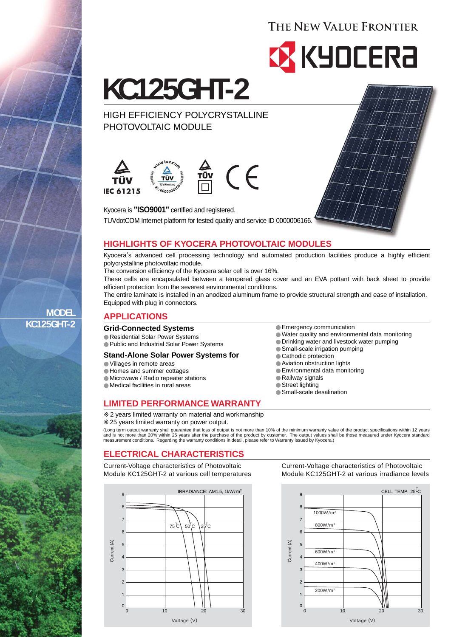# THE NEW VALUE FRONTIER



**KC125GHT-2**

HIGH EFFICIENCY POLYCRYSTALLINE PHOTOVOLTAIC MODULE



 $\in$ 

Kyocera is **"ISO9001"** certified and registered. TUVdotCOM Internet platform for tested quality and service ID 0000006166.

# **HIGHLIGHTS OF KYOCERA PHOTOVOLTAIC MODULES**

Kyocera, s advanced cell processing technology and automated production facilities produce a highly efficient polycrystalline photovoltaic module.

The conversion efficiency of the Kyocera solar cell is over 16%.

These cells are encapsulated between a tempered glass cover and an EVA pottant with back sheet to provide efficient protection from the severest environmental conditions.

The entire laminate is installed in an anodized aluminum frame to provide structural strength and ease of installation. Equipped with plug in connectors.

Emergency communication

Small-scale irrigation pumping

Cathodic protection Aviation obstruction lights Environmental data monitoring

Small-scale desalination

Railway signals Street lighting

Water quality and environmental data monitoring Drinking water and livestock water pumping

## **APPLICATIONS**

#### **Grid-Connected Systems**

Residential Solar Power Systems Public and Industrial Solar Power Systems

#### **Stand-Alone Solar Power Systems for**

Villages in remote areas Homes and summer cottages Microwave / Radio repeater stations Medical facilities in rural areas

#### **LIMITED PERFORMANCE WARRANTY**

2 years limited warranty on material and workmanship 25 years limited warranty on power output.

(Long term output warranty shall guarantee that loss of output is not more than 10% of the minimum warranty value of the product specifications within 12 years<br>and is not more than 20% within 25 years after the purchase of

## **ELECTRICAL CHARACTERISTICS**

Current-Voltage characteristics of Photovoltaic Module KC125GHT-2 at various cell temperatures



Current-Voltage characteristics of Photovoltaic Module KC125GHT-2 at various irradiance levels



**MODEL KC125GHT-2**